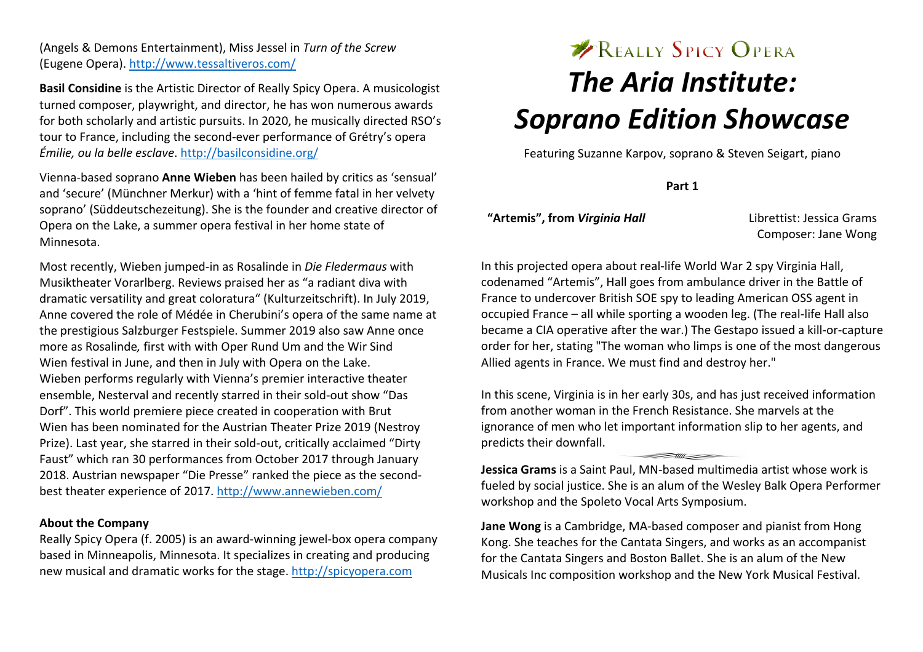(Angels & Demons Entertainment), Miss Jessel in *Turn of the Screw*  (Eugene Opera). http://www.tessaltiveros.com/

**Basil Considine** is the Artistic Director of Really Spicy Opera. A musicologist turned composer, playwright, and director, he has won numerous awards for both scholarly and artistic pursuits. In 2020, he musically directed RSO's tour to France, including the second-ever performance of Grétry's opera *Émilie, ou la belle esclave*. http://basilconsidine.org/

Vienna-based soprano **Anne Wieben** has been hailed by critics as 'sensual' and 'secure' (Münchner Merkur) with a 'hint of femme fatal in her velvety soprano' (Süddeutschezeitung). She is the founder and creative director of Opera on the Lake, a summer opera festival in her home state of Minnesota.

Most recently, Wieben jumped-in as Rosalinde in *Die Fledermaus* with Musiktheater Vorarlberg. Reviews praised her as "a radiant diva with dramatic versatility and great coloratura" (Kulturzeitschrift). In July 2019, Anne covered the role of Médée in Cherubini's opera of the same name at the prestigious Salzburger Festspiele. Summer 2019 also saw Anne once more as Rosalinde*,* first with with Oper Rund Um and the Wir Sind Wien festival in June, and then in July with Opera on the Lake. Wieben performs regularly with Vienna's premier interactive theater ensemble, Nesterval and recently starred in their sold-out show "Das Dorf". This world premiere piece created in cooperation with Brut Wien has been nominated for the Austrian Theater Prize 2019 (Nestroy Prize). Last year, she starred in their sold-out, critically acclaimed "Dirty Faust" which ran 30 performances from October 2017 through January 2018. Austrian newspaper "Die Presse" ranked the piece as the secondbest theater experience of 2017. http://www.annewieben.com/

#### **About the Company**

Really Spicy Opera (f. 2005) is an award-winning jewel-box opera company based in Minneapolis, Minnesota. It specializes in creating and producing new musical and dramatic works for the stage. http://spicyopera.com

# **EXPREALLY SPICY OPERA** *The Aria Institute: Soprano Edition Showcase*

Featuring Suzanne Karpov, soprano & Steven Seigart, piano

**Part 1**

**"Artemis", from** *Virginia Hall* Librettist: Jessica Grams

Composer: Jane Wong

In this projected opera about real-life World War 2 spy Virginia Hall, codenamed "Artemis", Hall goes from ambulance driver in the Battle of France to undercover British SOE spy to leading American OSS agent in occupied France – all while sporting a wooden leg. (The real-life Hall also became a CIA operative after the war.) The Gestapo issued a kill-or-capture order for her, stating "The woman who limps is one of the most dangerous Allied agents in France. We must find and destroy her."

In this scene, Virginia is in her early 30s, and has just received information from another woman in the French Resistance. She marvels at the ignorance of men who let important information slip to her agents, and predicts their downfall.

 $\frac{1}{\|f\|_2}$ 

**Jessica Grams** is a Saint Paul, MN-based multimedia artist whose work is fueled by social justice. She is an alum of the Wesley Balk Opera Performer workshop and the Spoleto Vocal Arts Symposium.

**Jane Wong** is a Cambridge, MA-based composer and pianist from Hong Kong. She teaches for the Cantata Singers, and works as an accompanist for the Cantata Singers and Boston Ballet. She is an alum of the New Musicals Inc composition workshop and the New York Musical Festival.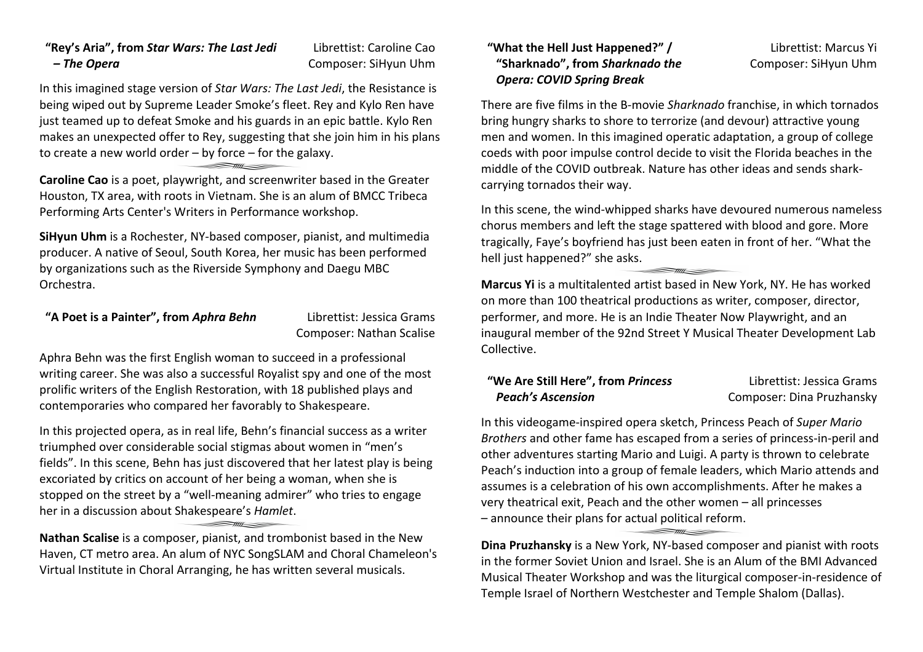# **"Rey's Aria", from** *Star Wars: The Last Jedi – The Opera*

Librettist: Caroline Cao Composer: SiHyun Uhm

In this imagined stage version of *Star Wars: The Last Jedi*, the Resistance is being wiped out by Supreme Leader Smoke's fleet. Rey and Kylo Ren have just teamed up to defeat Smoke and his guards in an epic battle. Kylo Ren makes an unexpected offer to Rey, suggesting that she join him in his plans to create a new world order – by force – for the galaxy.

**Caroline Cao** is a poet, playwright, and screenwriter based in the Greater Houston, TX area, with roots in Vietnam. She is an alum of BMCC Tribeca Performing Arts Center's Writers in Performance workshop.

**SiHyun Uhm** is a Rochester, NY-based composer, pianist, and multimedia producer. A native of Seoul, South Korea, her music has been performed by organizations such as the Riverside Symphony and Daegu MBC Orchestra.

# **"A Poet is a Painter", from** *Aphra Behn* Librettist: Jessica Grams

Composer: Nathan Scalise

Aphra Behn was the first English woman to succeed in a professional writing career. She was also a successful Royalist spy and one of the most prolific writers of the English Restoration, with 18 published plays and contemporaries who compared her favorably to Shakespeare.

In this projected opera, as in real life, Behn's financial success as a writer triumphed over considerable social stigmas about women in "men's fields". In this scene, Behn has just discovered that her latest play is being excoriated by critics on account of her being a woman, when she is stopped on the street by a "well-meaning admirer" who tries to engage her in a discussion about Shakespeare's *Hamlet*.

**Nathan Scalise** is a composer, pianist, and trombonist based in the New Haven, CT metro area. An alum of NYC SongSLAM and Choral Chameleon's Virtual Institute in Choral Arranging, he has written several musicals.

# **"What the Hell Just Happened?" / "Sharknado", from** *Sharknado the Opera: COVID Spring Break*

Librettist: Marcus Yi Composer: SiHyun Uhm

There are five films in the B-movie *Sharknado* franchise, in which tornados bring hungry sharks to shore to terrorize (and devour) attractive young men and women. In this imagined operatic adaptation, a group of college coeds with poor impulse control decide to visit the Florida beaches in the middle of the COVID outbreak. Nature has other ideas and sends sharkcarrying tornados their way.

In this scene, the wind-whipped sharks have devoured numerous nameless chorus members and left the stage spattered with blood and gore. More tragically, Faye's boyfriend has just been eaten in front of her. "What the hell just happened?" she asks.

**Marcus Yi** is a multitalented artist based in New York, NY. He has worked on more than 100 theatrical productions as writer, composer, director, performer, and more. He is an Indie Theater Now Playwright, and an inaugural member of the 92nd Street Y Musical Theater Development Lab Collective.

#### **"We Are Still Here", from** *Princess Peach's Ascension* Librettist: Jessica Grams Composer: Dina Pruzhansky

In this videogame-inspired opera sketch, Princess Peach of *Super Mario Brothers* and other fame has escaped from a series of princess-in-peril and other adventures starting Mario and Luigi. A party is thrown to celebrate Peach's induction into a group of female leaders, which Mario attends and assumes is a celebration of his own accomplishments. After he makes a very theatrical exit, Peach and the other women – all princesses – announce their plans for actual political reform.

**Dina Pruzhansky** is a New York, NY-based composer and pianist with roots in the former Soviet Union and Israel. She is an Alum of the BMI Advanced Musical Theater Workshop and was the liturgical composer-in-residence of Temple Israel of Northern Westchester and Temple Shalom (Dallas).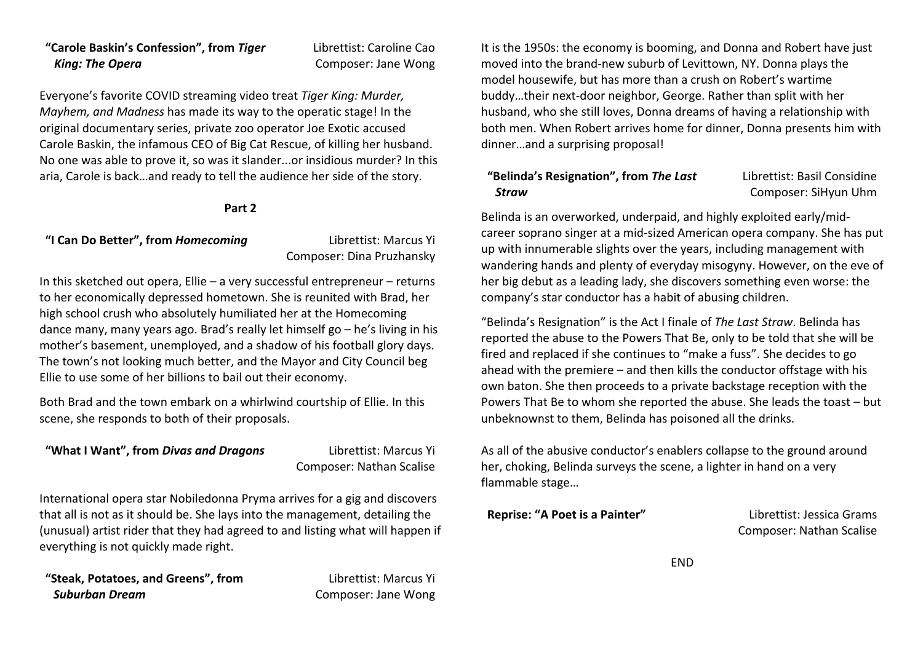## **"Carole Baskin's Confession", from** *Tiger King: The Opera*

Librettist: Caroline Cao Composer: Jane Wong

Everyone's favorite COVID streaming video treat *Tiger King: Murder, Mayhem, and Madness* has made its way to the operatic stage! In the original documentary series, private zoo operator Joe Exotic accused Carole Baskin, the infamous CEO of Big Cat Rescue, of killing her husband. No one was able to prove it, so was it slander...or insidious murder? In this aria, Carole is back…and ready to tell the audience her side of the story.

#### **Part 2**

### **"I Can Do Better", from** *Homecoming* Librettist: Marcus Yi

Composer: Dina Pruzhansky

In this sketched out opera, Ellie – a very successful entrepreneur – returns to her economically depressed hometown. She is reunited with Brad, her high school crush who absolutely humiliated her at the Homecoming dance many, many years ago. Brad's really let himself go – he's living in his mother's basement, unemployed, and a shadow of his football glory days. The town's not looking much better, and the Mayor and City Council beg Ellie to use some of her billions to bail out their economy.

Both Brad and the town embark on a whirlwind courtship of Ellie. In this scene, she responds to both of their proposals.

### **"What I Want", from** *Divas and Dragons* Librettist: Marcus Yi

Composer: Nathan Scalise

International opera star Nobiledonna Pryma arrives for a gig and discovers that all is not as it should be. She lays into the management, detailing the (unusual) artist rider that they had agreed to and listing what will happen if everything is not quickly made right.

**"Steak, Potatoes, and Greens", from**  *Suburban Dream*

Librettist: Marcus Yi Composer: Jane Wong

It is the 1950s: the economy is booming, and Donna and Robert have just moved into the brand-new suburb of Levittown, NY. Donna plays the model housewife, but has more than a crush on Robert's wartime buddy…their next-door neighbor, George. Rather than split with her husband, who she still loves, Donna dreams of having a relationship with both men. When Robert arrives home for dinner, Donna presents him with dinner…and a surprising proposal!

# **"Belinda's Resignation", from** *The Last Straw*

Librettist: Basil Considine Composer: SiHyun Uhm

Belinda is an overworked, underpaid, and highly exploited early/midcareer soprano singer at a mid-sized American opera company. She has put up with innumerable slights over the years, including management with wandering hands and plenty of everyday misogyny. However, on the eve of her big debut as a leading lady, she discovers something even worse: the company's star conductor has a habit of abusing children.

"Belinda's Resignation" is the Act I finale of *The Last Straw*. Belinda has reported the abuse to the Powers That Be, only to be told that she will be fired and replaced if she continues to "make a fuss". She decides to go ahead with the premiere – and then kills the conductor offstage with his own baton. She then proceeds to a private backstage reception with the Powers That Be to whom she reported the abuse. She leads the toast – but unbeknownst to them, Belinda has poisoned all the drinks.

As all of the abusive conductor's enablers collapse to the ground around her, choking, Belinda surveys the scene, a lighter in hand on a very flammable stage…

**Reprise: "A Poet is a Painter"** Librettist: Jessica Grams Composer: Nathan Scalise

**FND**